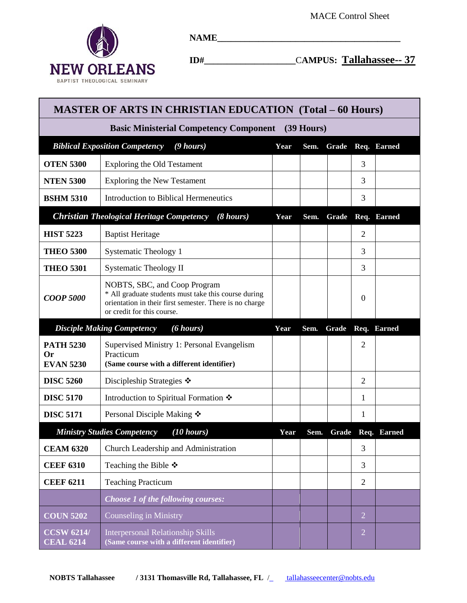

**NAME\_\_\_\_\_\_\_\_\_\_\_\_\_\_\_\_\_\_\_\_\_\_\_\_\_\_\_\_\_\_\_\_\_\_\_\_\_\_\_\_**

**ID#\_\_\_\_\_\_\_\_\_\_\_\_\_\_\_\_\_\_\_\_**C**AMPUS: Tallahassee-- 37** 

| <b>MASTER OF ARTS IN CHRISTIAN EDUCATION (Total - 60 Hours)</b> |                                                                                                                                                                               |      |       |       |                |                   |  |  |  |  |  |
|-----------------------------------------------------------------|-------------------------------------------------------------------------------------------------------------------------------------------------------------------------------|------|-------|-------|----------------|-------------------|--|--|--|--|--|
| <b>Basic Ministerial Competency Component</b> (39 Hours)        |                                                                                                                                                                               |      |       |       |                |                   |  |  |  |  |  |
| <b>Biblical Exposition Competency</b>                           | Year                                                                                                                                                                          | Sem. | Grade |       | Req. Earned    |                   |  |  |  |  |  |
| <b>OTEN 5300</b>                                                | <b>Exploring the Old Testament</b>                                                                                                                                            |      |       |       | 3              |                   |  |  |  |  |  |
| <b>NTEN 5300</b>                                                | <b>Exploring the New Testament</b>                                                                                                                                            |      |       |       | 3              |                   |  |  |  |  |  |
| <b>BSHM 5310</b>                                                | Introduction to Biblical Hermeneutics                                                                                                                                         |      |       |       | 3              |                   |  |  |  |  |  |
|                                                                 | <b>Christian Theological Heritage Competency</b> (8 hours)                                                                                                                    | Year | Sem.  | Grade |                | Req. Earned       |  |  |  |  |  |
| <b>HIST 5223</b>                                                | <b>Baptist Heritage</b>                                                                                                                                                       |      |       |       | 2              |                   |  |  |  |  |  |
| <b>THEO 5300</b>                                                | Systematic Theology 1                                                                                                                                                         |      |       |       | 3              |                   |  |  |  |  |  |
| <b>THEO 5301</b>                                                | <b>Systematic Theology II</b>                                                                                                                                                 |      |       |       | 3              |                   |  |  |  |  |  |
| <b>COOP 5000</b>                                                | NOBTS, SBC, and Coop Program<br>* All graduate students must take this course during<br>orientation in their first semester. There is no charge<br>or credit for this course. |      |       |       | $\theta$       |                   |  |  |  |  |  |
| $(6 \; hours)$<br><b>Disciple Making Competency</b>             |                                                                                                                                                                               |      | Sem.  | Grade |                | Req. Earned       |  |  |  |  |  |
| <b>PATH 5230</b><br>Or<br><b>EVAN 5230</b>                      | Supervised Ministry 1: Personal Evangelism<br>Practicum<br>(Same course with a different identifier)                                                                          |      |       |       | $\overline{2}$ |                   |  |  |  |  |  |
| <b>DISC 5260</b>                                                | Discipleship Strategies $\cdot$                                                                                                                                               |      |       |       | 2              |                   |  |  |  |  |  |
| <b>DISC 5170</b>                                                | Introduction to Spiritual Formation ❖                                                                                                                                         |      |       |       | 1              |                   |  |  |  |  |  |
| <b>DISC 5171</b>                                                | Personal Disciple Making ❖                                                                                                                                                    |      |       |       | 1              |                   |  |  |  |  |  |
|                                                                 | $(10 \text{ hours})$<br><b>Ministry Studies Competency</b>                                                                                                                    | Year | Sem.  |       |                | Grade Req. Earned |  |  |  |  |  |
| <b>CEAM 6320</b>                                                | Church Leadership and Administration                                                                                                                                          |      |       |       | 3              |                   |  |  |  |  |  |
| <b>CEEF 6310</b>                                                | Teaching the Bible $\ddot{\bullet}$                                                                                                                                           |      |       |       | 3              |                   |  |  |  |  |  |
| <b>CEEF 6211</b>                                                | <b>Teaching Practicum</b>                                                                                                                                                     |      |       |       | $\overline{2}$ |                   |  |  |  |  |  |
|                                                                 | Choose 1 of the following courses:                                                                                                                                            |      |       |       |                |                   |  |  |  |  |  |
| <b>COUN 5202</b>                                                | Counseling in Ministry                                                                                                                                                        |      |       |       | $\overline{2}$ |                   |  |  |  |  |  |
| <b>CCSW 6214/</b><br><b>CEAL 6214</b>                           | <b>Interpersonal Relationship Skills</b><br>(Same course with a different identifier)                                                                                         |      |       |       | $\overline{2}$ |                   |  |  |  |  |  |